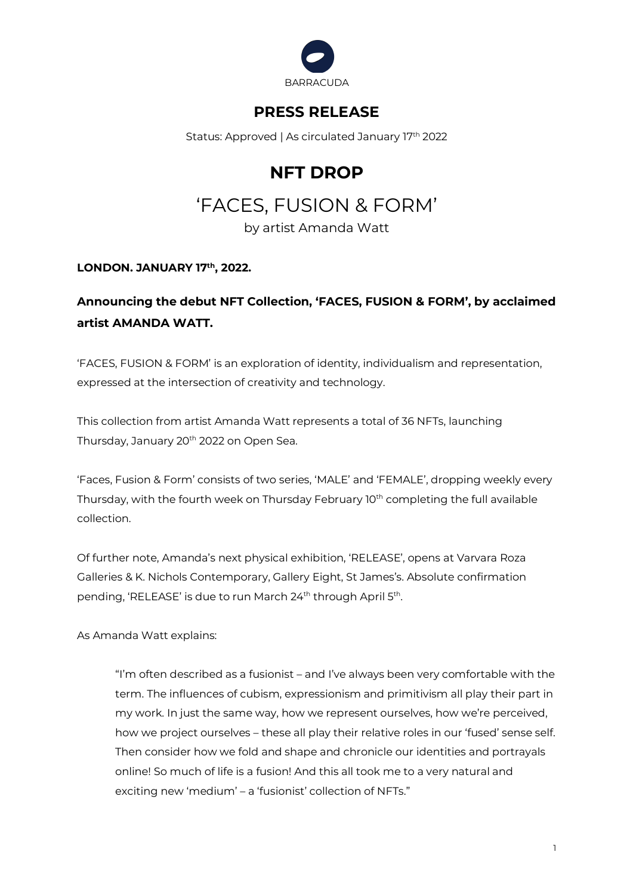

## **PRESS RELEASE**

Status: Approved | As circulated January 17th 2022

# **NFT DROP**

# 'FACES, FUSION & FORM'

by artist Amanda Watt

#### **LONDON. JANUARY 17th, 2022.**

### **Announcing the debut NFT Collection, 'FACES, FUSION & FORM', by acclaimed artist AMANDA WATT.**

'FACES, FUSION & FORM' is an exploration of identity, individualism and representation, expressed at the intersection of creativity and technology.

This collection from artist Amanda Watt represents a total of 36 NFTs, launching Thursday, January 20<sup>th</sup> 2022 on Open Sea.

'Faces, Fusion & Form' consists of two series, 'MALE' and 'FEMALE', dropping weekly every Thursday, with the fourth week on Thursday February 10<sup>th</sup> completing the full available collection.

Of further note, Amanda's next physical exhibition, 'RELEASE', opens at Varvara Roza Galleries & K. Nichols Contemporary, Gallery Eight, St James's. Absolute confirmation pending, 'RELEASE' is due to run March 24<sup>th</sup> through April 5<sup>th</sup>.

As Amanda Watt explains:

"I'm often described as a fusionist – and I've always been very comfortable with the term. The influences of cubism, expressionism and primitivism all play their part in my work. In just the same way, how we represent ourselves, how we're perceived, how we project ourselves – these all play their relative roles in our 'fused' sense self. Then consider how we fold and shape and chronicle our identities and portrayals online! So much of life is a fusion! And this all took me to a very natural and exciting new 'medium' – a 'fusionist' collection of NFTs."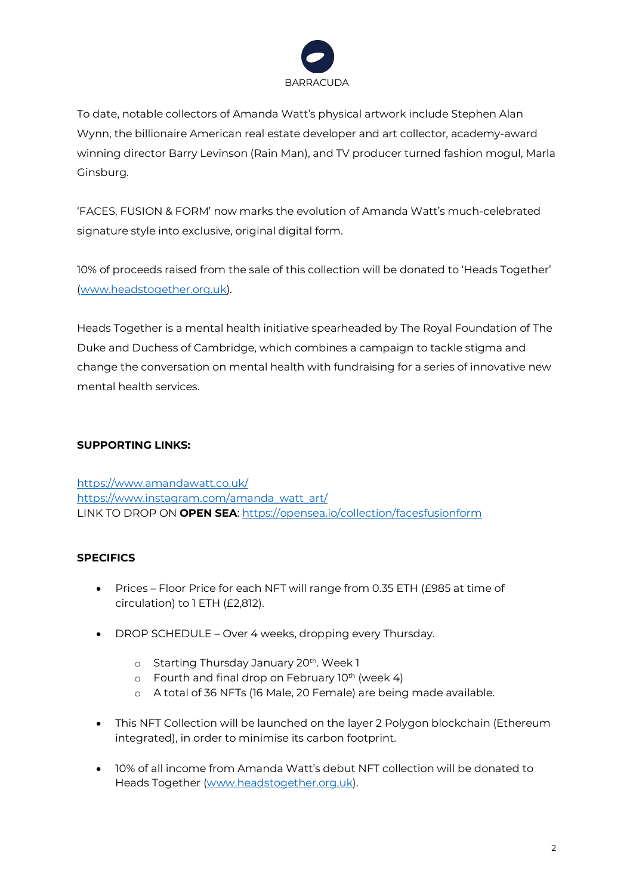

To date, notable collectors of Amanda Watt's physical artwork include Stephen Alan Wynn, the billionaire American real estate developer and art collector, academy-award winning director Barry Levinson (Rain Man), and TV producer turned fashion mogul, Marla Ginsburg.

'FACES, FUSION & FORM' now marks the evolution of Amanda Watt's much-celebrated signature style into exclusive, original digital form.

10% of proceeds raised from the sale of this collection will be donated to 'Heads Together' (www.headstogether.org.uk).

Heads Together is a mental health initiative spearheaded by The Royal Foundation of The Duke and Duchess of Cambridge, which combines a campaign to tackle stigma and change the conversation on mental health with fundraising for a series of innovative new mental health services.

#### **SUPPORTING LINKS:**

https://www.amandawatt.co.uk/ https://www.instagram.com/amanda\_watt\_art/ LINK TO DROP ON **OPEN SEA**: https://opensea.io/collection/facesfusionform

#### **SPECIFICS**

- Prices Floor Price for each NFT will range from 0.35 ETH (£985 at time of circulation) to 1 ETH (£2,812).
- DROP SCHEDULE Over 4 weeks, dropping every Thursday.
	- o Starting Thursday January 20<sup>th</sup>. Week 1
	- $\circ$  Fourth and final drop on February 10<sup>th</sup> (week 4)
	- o A total of 36 NFTs (16 Male, 20 Female) are being made available.
- This NFT Collection will be launched on the layer 2 Polygon blockchain (Ethereum integrated), in order to minimise its carbon footprint.
- 10% of all income from Amanda Watt's debut NFT collection will be donated to Heads Together (www.headstogether.org.uk).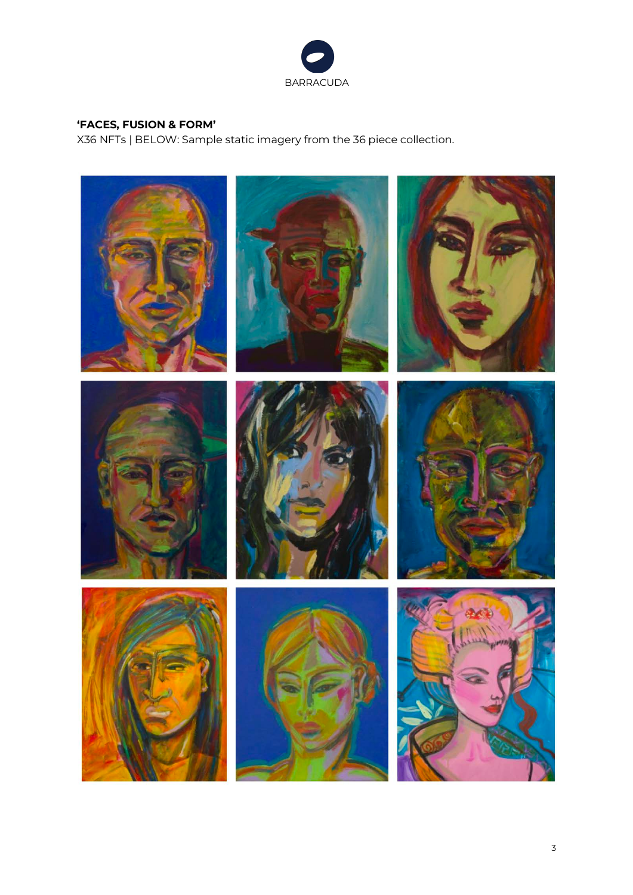

#### **'FACES, FUSION & FORM'**

X36 NFTs | BELOW: Sample static imagery from the 36 piece collection.